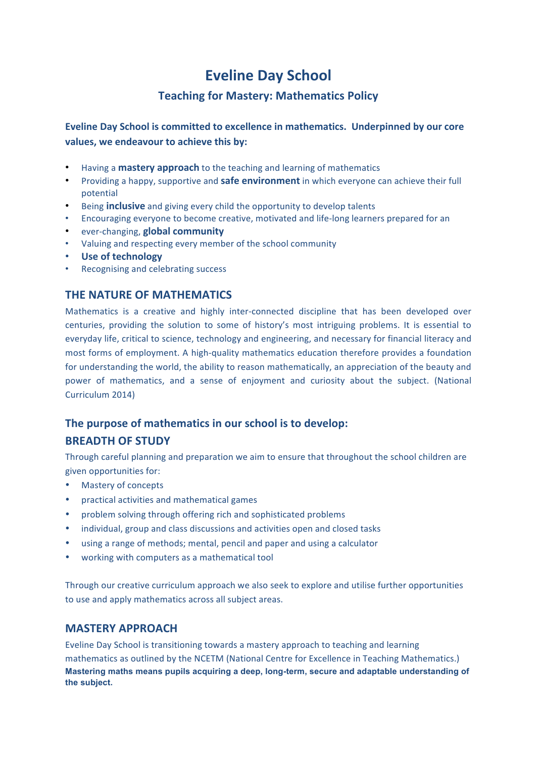# **Eveline Day School**

# **Teaching for Mastery: Mathematics Policy**

**Eveline Day School is committed to excellence in mathematics. Underpinned by our core** values, we endeavour to achieve this by:

- Having a **mastery approach** to the teaching and learning of mathematics
- Providing a happy, supportive and **safe environment** in which everyone can achieve their full potential
- Being **inclusive** and giving every child the opportunity to develop talents
- Encouraging everyone to become creative, motivated and life-long learners prepared for an
- ever-changing, **global community**
- Valuing and respecting every member of the school community
- **Use of technology**
- Recognising and celebrating success

# **THE NATURE OF MATHEMATICS**

Mathematics is a creative and highly inter-connected discipline that has been developed over centuries, providing the solution to some of history's most intriguing problems. It is essential to everyday life, critical to science, technology and engineering, and necessary for financial literacy and most forms of employment. A high-quality mathematics education therefore provides a foundation for understanding the world, the ability to reason mathematically, an appreciation of the beauty and power of mathematics, and a sense of enjoyment and curiosity about the subject. (National Curriculum 2014)

# The purpose of mathematics in our school is to develop:

# **BREADTH OF STUDY**

Through careful planning and preparation we aim to ensure that throughout the school children are given opportunities for:

- Mastery of concepts
- practical activities and mathematical games
- problem solving through offering rich and sophisticated problems
- individual, group and class discussions and activities open and closed tasks
- using a range of methods; mental, pencil and paper and using a calculator
- working with computers as a mathematical tool

Through our creative curriculum approach we also seek to explore and utilise further opportunities to use and apply mathematics across all subject areas.

# **MASTERY APPROACH**

Eveline Day School is transitioning towards a mastery approach to teaching and learning mathematics as outlined by the NCETM (National Centre for Excellence in Teaching Mathematics.) **Mastering maths means pupils acquiring a deep, long-term, secure and adaptable understanding of the subject.**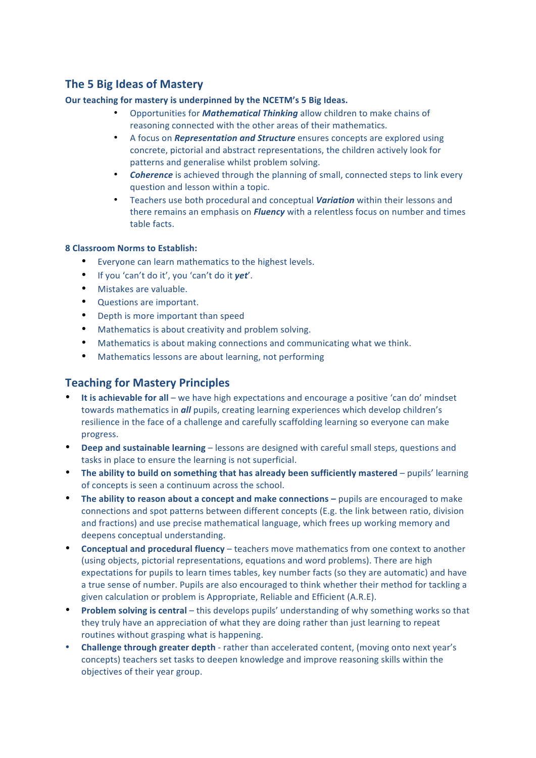# **The 5 Big Ideas of Mastery**

#### Our teaching for mastery is underpinned by the NCETM's 5 Big Ideas.

- Opportunities for *Mathematical Thinking* allow children to make chains of reasoning connected with the other areas of their mathematics.
- A focus on *Representation and Structure* ensures concepts are explored using concrete, pictorial and abstract representations, the children actively look for patterns and generalise whilst problem solving.
- **Coherence** is achieved through the planning of small, connected steps to link every question and lesson within a topic.
- Teachers use both procedural and conceptual *Variation* within their lessons and there remains an emphasis on **Fluency** with a relentless focus on number and times table facts.

#### **8 Classroom Norms to Establish:**

- Everyone can learn mathematics to the highest levels.
- If you 'can't do it', you 'can't do it yet'.
- Mistakes are valuable.
- Questions are important.
- Depth is more important than speed
- Mathematics is about creativity and problem solving.
- Mathematics is about making connections and communicating what we think.
- Mathematics lessons are about learning, not performing

# **Teaching for Mastery Principles**

- It is achievable for all we have high expectations and encourage a positive 'can do' mindset towards mathematics in **all** pupils, creating learning experiences which develop children's resilience in the face of a challenge and carefully scaffolding learning so everyone can make progress.
- Deep and sustainable learning lessons are designed with careful small steps, questions and tasks in place to ensure the learning is not superficial.
- The ability to build on something that has already been sufficiently mastered pupils' learning of concepts is seen a continuum across the school.
- The ability to reason about a concept and make connections pupils are encouraged to make connections and spot patterns between different concepts (E.g. the link between ratio, division and fractions) and use precise mathematical language, which frees up working memory and deepens conceptual understanding.
- **Conceptual and procedural fluency** teachers move mathematics from one context to another (using objects, pictorial representations, equations and word problems). There are high expectations for pupils to learn times tables, key number facts (so they are automatic) and have a true sense of number. Pupils are also encouraged to think whether their method for tackling a given calculation or problem is Appropriate, Reliable and Efficient (A.R.E).
- **Problem solving is central** this develops pupils' understanding of why something works so that they truly have an appreciation of what they are doing rather than just learning to repeat routines without grasping what is happening.
- Challenge through greater depth rather than accelerated content, (moving onto next year's concepts) teachers set tasks to deepen knowledge and improve reasoning skills within the objectives of their year group.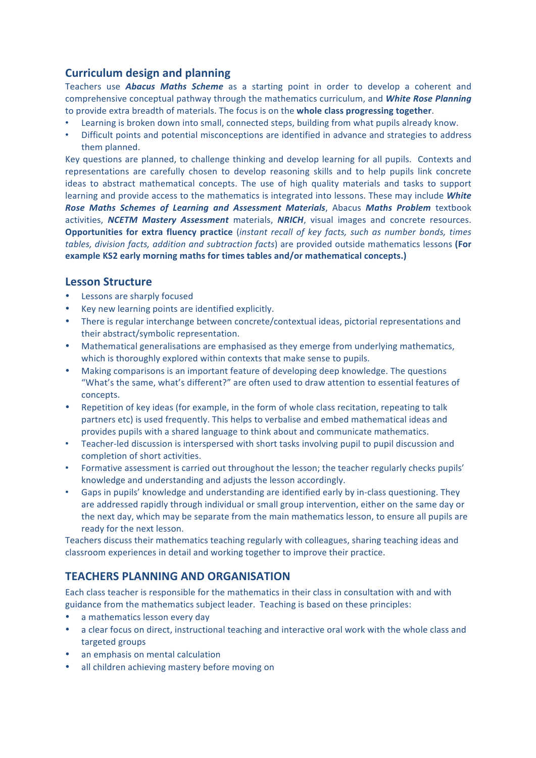# **Curriculum design and planning**

Teachers use **Abacus Maths Scheme** as a starting point in order to develop a coherent and comprehensive conceptual pathway through the mathematics curriculum, and *White Rose Planning* to provide extra breadth of materials. The focus is on the **whole class progressing together**.

- Learning is broken down into small, connected steps, building from what pupils already know.
- Difficult points and potential misconceptions are identified in advance and strategies to address them planned.

Key questions are planned, to challenge thinking and develop learning for all pupils. Contexts and representations are carefully chosen to develop reasoning skills and to help pupils link concrete ideas to abstract mathematical concepts. The use of high quality materials and tasks to support learning and provide access to the mathematics is integrated into lessons. These may include *White* **Rose Maths Schemes of Learning and Assessment Materials**, Abacus Maths Problem textbook activities, **NCETM Mastery Assessment** materials, **NRICH**, visual images and concrete resources. **Opportunities for extra fluency practice** (*instant recall of key facts, such as number bonds, times tables, division facts, addition and subtraction facts*) are provided outside mathematics lessons (For example KS2 early morning maths for times tables and/or mathematical concepts.)

# **Lesson Structure**

- Lessons are sharply focused
- Key new learning points are identified explicitly.
- There is regular interchange between concrete/contextual ideas, pictorial representations and their abstract/symbolic representation.
- Mathematical generalisations are emphasised as they emerge from underlying mathematics, which is thoroughly explored within contexts that make sense to pupils.
- Making comparisons is an important feature of developing deep knowledge. The questions "What's the same, what's different?" are often used to draw attention to essential features of concepts.
- Repetition of key ideas (for example, in the form of whole class recitation, repeating to talk partners etc) is used frequently. This helps to verbalise and embed mathematical ideas and provides pupils with a shared language to think about and communicate mathematics.
- Teacher-led discussion is interspersed with short tasks involving pupil to pupil discussion and completion of short activities.
- Formative assessment is carried out throughout the lesson; the teacher regularly checks pupils' knowledge and understanding and adjusts the lesson accordingly.
- Gaps in pupils' knowledge and understanding are identified early by in-class questioning. They are addressed rapidly through individual or small group intervention, either on the same day or the next day, which may be separate from the main mathematics lesson, to ensure all pupils are ready for the next lesson.

Teachers discuss their mathematics teaching regularly with colleagues, sharing teaching ideas and classroom experiences in detail and working together to improve their practice.

# **TEACHERS PLANNING AND ORGANISATION**

Each class teacher is responsible for the mathematics in their class in consultation with and with guidance from the mathematics subject leader. Teaching is based on these principles:

- a mathematics lesson every day
- a clear focus on direct, instructional teaching and interactive oral work with the whole class and targeted groups
- an emphasis on mental calculation
- all children achieving mastery before moving on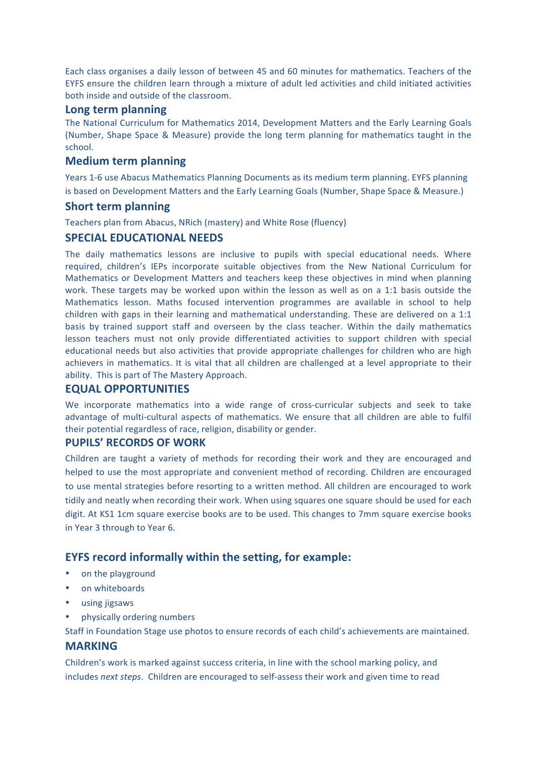Each class organises a daily lesson of between 45 and 60 minutes for mathematics. Teachers of the EYFS ensure the children learn through a mixture of adult led activities and child initiated activities both inside and outside of the classroom.

#### **Long term planning**

The National Curriculum for Mathematics 2014, Development Matters and the Early Learning Goals (Number, Shape Space & Measure) provide the long term planning for mathematics taught in the school.

### **Medium term planning**

Years 1-6 use Abacus Mathematics Planning Documents as its medium term planning. EYFS planning is based on Development Matters and the Early Learning Goals (Number, Shape Space & Measure.)

#### **Short term planning**

Teachers plan from Abacus, NRich (mastery) and White Rose (fluency)

### **SPECIAL EDUCATIONAL NEEDS**

The daily mathematics lessons are inclusive to pupils with special educational needs. Where required, children's IEPs incorporate suitable objectives from the New National Curriculum for Mathematics or Development Matters and teachers keep these objectives in mind when planning work. These targets may be worked upon within the lesson as well as on a  $1:1$  basis outside the Mathematics lesson. Maths focused intervention programmes are available in school to help children with gaps in their learning and mathematical understanding. These are delivered on a 1:1 basis by trained support staff and overseen by the class teacher. Within the daily mathematics lesson teachers must not only provide differentiated activities to support children with special educational needs but also activities that provide appropriate challenges for children who are high achievers in mathematics. It is vital that all children are challenged at a level appropriate to their ability. This is part of The Mastery Approach.

# **EQUAL OPPORTUNITIES**

We incorporate mathematics into a wide range of cross-curricular subjects and seek to take advantage of multi-cultural aspects of mathematics. We ensure that all children are able to fulfil their potential regardless of race, religion, disability or gender.

# **PUPILS' RECORDS OF WORK**

Children are taught a variety of methods for recording their work and they are encouraged and helped to use the most appropriate and convenient method of recording. Children are encouraged to use mental strategies before resorting to a written method. All children are encouraged to work tidily and neatly when recording their work. When using squares one square should be used for each digit. At KS1 1cm square exercise books are to be used. This changes to 7mm square exercise books in Year 3 through to Year 6.

# **EYFS record informally within the setting, for example:**

- on the playground
- on whiteboards
- using jigsaws
- physically ordering numbers

Staff in Foundation Stage use photos to ensure records of each child's achievements are maintained.

#### **MARKING**

Children's work is marked against success criteria, in line with the school marking policy, and includes *next steps*. Children are encouraged to self-assess their work and given time to read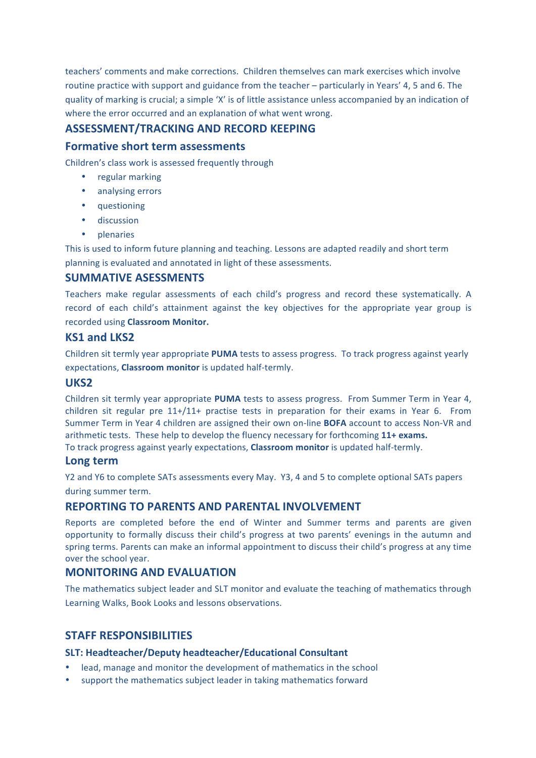teachers' comments and make corrections. Children themselves can mark exercises which involve routine practice with support and guidance from the teacher – particularly in Years' 4, 5 and 6. The quality of marking is crucial; a simple 'X' is of little assistance unless accompanied by an indication of where the error occurred and an explanation of what went wrong.

# **ASSESSMENT/TRACKING AND RECORD KEEPING**

# **Formative short term assessments**

Children's class work is assessed frequently through

- regular marking
- analysing errors
- questioning
- discussion
- plenaries

This is used to inform future planning and teaching. Lessons are adapted readily and short term planning is evaluated and annotated in light of these assessments.

# **SUMMATIVE ASESSMENTS**

Teachers make regular assessments of each child's progress and record these systematically. A record of each child's attainment against the key objectives for the appropriate year group is recorded using **Classroom Monitor.** 

### **KS1 and LKS2**

Children sit termly year appropriate PUMA tests to assess progress. To track progress against yearly expectations, **Classroom monitor** is updated half-termly.

## **UKS2**

Children sit termly year appropriate **PUMA** tests to assess progress. From Summer Term in Year 4, children sit regular pre  $11+/11+$  practise tests in preparation for their exams in Year 6. From Summer Term in Year 4 children are assigned their own on-line **BOFA** account to access Non-VR and arithmetic tests. These help to develop the fluency necessary for forthcoming 11+ exams. To track progress against yearly expectations, **Classroom monitor** is updated half-termly.

#### **Long term**

Y2 and Y6 to complete SATs assessments every May. Y3, 4 and 5 to complete optional SATs papers during summer term.

# **REPORTING TO PARENTS AND PARENTAL INVOLVEMENT**

Reports are completed before the end of Winter and Summer terms and parents are given opportunity to formally discuss their child's progress at two parents' evenings in the autumn and spring terms. Parents can make an informal appointment to discuss their child's progress at any time over the school vear.

# **MONITORING AND EVALUATION**

The mathematics subject leader and SLT monitor and evaluate the teaching of mathematics through Learning Walks, Book Looks and lessons observations.

# **STAFF RESPONSIBILITIES**

#### **SLT: Headteacher/Deputy headteacher/Educational Consultant**

- lead, manage and monitor the development of mathematics in the school
- support the mathematics subject leader in taking mathematics forward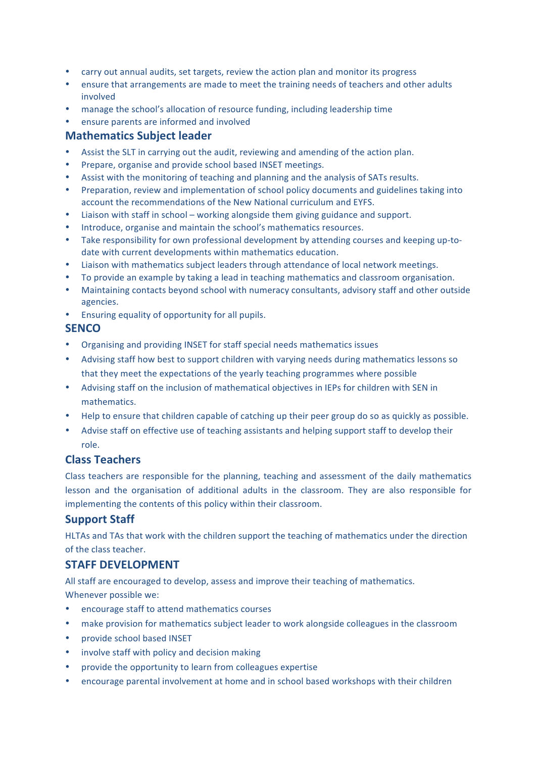- carry out annual audits, set targets, review the action plan and monitor its progress
- ensure that arrangements are made to meet the training needs of teachers and other adults involved
- manage the school's allocation of resource funding, including leadership time
- ensure parents are informed and involved

# **Mathematics Subject leader**

- Assist the SLT in carrying out the audit, reviewing and amending of the action plan.
- Prepare, organise and provide school based INSET meetings.
- Assist with the monitoring of teaching and planning and the analysis of SATs results.
- Preparation, review and implementation of school policy documents and guidelines taking into account the recommendations of the New National curriculum and EYFS.
- Liaison with staff in school working alongside them giving guidance and support.
- Introduce, organise and maintain the school's mathematics resources.
- Take responsibility for own professional development by attending courses and keeping up-todate with current developments within mathematics education.
- Liaison with mathematics subject leaders through attendance of local network meetings.
- To provide an example by taking a lead in teaching mathematics and classroom organisation.
- Maintaining contacts beyond school with numeracy consultants, advisory staff and other outside agencies.
- Ensuring equality of opportunity for all pupils.

#### **SENCO**

- Organising and providing INSET for staff special needs mathematics issues
- Advising staff how best to support children with varying needs during mathematics lessons so that they meet the expectations of the yearly teaching programmes where possible
- Advising staff on the inclusion of mathematical objectives in IEPs for children with SEN in mathematics.
- Help to ensure that children capable of catching up their peer group do so as quickly as possible.
- Advise staff on effective use of teaching assistants and helping support staff to develop their role.

# **Class Teachers**

Class teachers are responsible for the planning, teaching and assessment of the daily mathematics lesson and the organisation of additional adults in the classroom. They are also responsible for implementing the contents of this policy within their classroom.

# **Support Staff**

HLTAs and TAs that work with the children support the teaching of mathematics under the direction of the class teacher.

# **STAFF DEVELOPMENT**

All staff are encouraged to develop, assess and improve their teaching of mathematics. Whenever possible we:

- encourage staff to attend mathematics courses
- make provision for mathematics subject leader to work alongside colleagues in the classroom
- provide school based INSET
- involve staff with policy and decision making
- provide the opportunity to learn from colleagues expertise
- encourage parental involvement at home and in school based workshops with their children